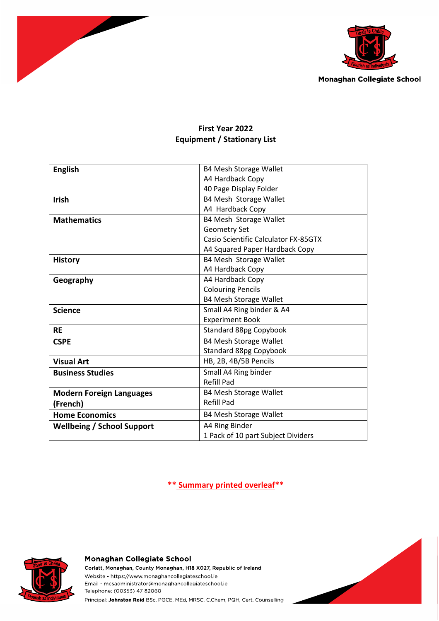



# **First Year 2022 Equipment / Stationary List**

| <b>English</b>                    | <b>B4 Mesh Storage Wallet</b>        |
|-----------------------------------|--------------------------------------|
|                                   | A4 Hardback Copy                     |
|                                   | 40 Page Display Folder               |
| <b>Irish</b>                      | B4 Mesh Storage Wallet               |
|                                   | A4 Hardback Copy                     |
| <b>Mathematics</b>                | B4 Mesh Storage Wallet               |
|                                   | <b>Geometry Set</b>                  |
|                                   | Casio Scientific Calculator FX-85GTX |
|                                   | A4 Squared Paper Hardback Copy       |
| <b>History</b>                    | B4 Mesh Storage Wallet               |
|                                   | A4 Hardback Copy                     |
| Geography                         | A4 Hardback Copy                     |
|                                   | <b>Colouring Pencils</b>             |
|                                   | <b>B4 Mesh Storage Wallet</b>        |
| <b>Science</b>                    | Small A4 Ring binder & A4            |
|                                   | <b>Experiment Book</b>               |
| <b>RE</b>                         | Standard 88pg Copybook               |
| <b>CSPE</b>                       | <b>B4 Mesh Storage Wallet</b>        |
|                                   | <b>Standard 88pg Copybook</b>        |
| <b>Visual Art</b>                 | HB, 2B, 4B/5B Pencils                |
| <b>Business Studies</b>           | Small A4 Ring binder                 |
|                                   | <b>Refill Pad</b>                    |
| <b>Modern Foreign Languages</b>   | <b>B4 Mesh Storage Wallet</b>        |
| (French)                          | <b>Refill Pad</b>                    |
| <b>Home Economics</b>             | <b>B4 Mesh Storage Wallet</b>        |
| <b>Wellbeing / School Support</b> | A4 Ring Binder                       |
|                                   | 1 Pack of 10 part Subject Dividers   |

**\*\* Summary printed overleaf\*\***



#### Monaghan Collegiate School

Corlatt, Monaghan, County Monaghan, H18 X027, Republic of Ireland Website - https://www.monaghancollegiateschool.ie Email - mcsadministrator@monaghancollegiateschool.ie Telephone: (00353) 47 82060 Principal: Johnston Reid BSc, PGCE, MEd, MRSC, C.Chem, PQH, Cert. Counselling